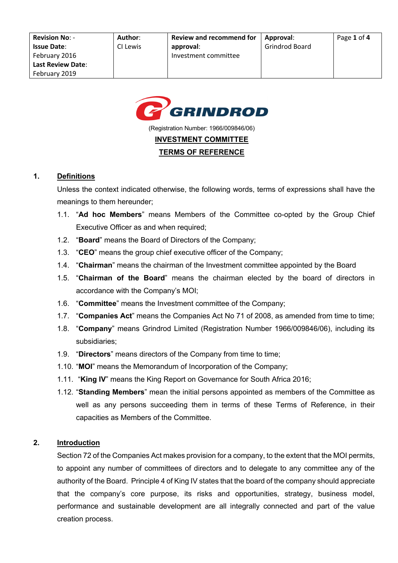

(Registration Number: 1966/009846/06)

#### **INVESTMENT COMMITTEE**

#### **TERMS OF REFERENCE**

#### **1. Definitions**

Unless the context indicated otherwise, the following words, terms of expressions shall have the meanings to them hereunder;

- 1.1. "**Ad hoc Members**" means Members of the Committee co-opted by the Group Chief Executive Officer as and when required;
- 1.2. "**Board**" means the Board of Directors of the Company;
- 1.3. "**CEO**" means the group chief executive officer of the Company;
- 1.4. "**Chairman**" means the chairman of the Investment committee appointed by the Board
- 1.5. "**Chairman of the Board**" means the chairman elected by the board of directors in accordance with the Company's MOI;
- 1.6. "**Committee**" means the Investment committee of the Company;
- 1.7. "**Companies Act**" means the Companies Act No 71 of 2008, as amended from time to time;
- 1.8. "**Company**" means Grindrod Limited (Registration Number 1966/009846/06), including its subsidiaries;
- 1.9. "**Directors**" means directors of the Company from time to time;
- 1.10. "**MOI**" means the Memorandum of Incorporation of the Company;
- 1.11. "**King IV**" means the King Report on Governance for South Africa 2016;
- 1.12. "**Standing Members**" mean the initial persons appointed as members of the Committee as well as any persons succeeding them in terms of these Terms of Reference, in their capacities as Members of the Committee.

#### **2. Introduction**

Section 72 of the Companies Act makes provision for a company, to the extent that the MOI permits, to appoint any number of committees of directors and to delegate to any committee any of the authority of the Board. Principle 4 of King IV states that the board of the company should appreciate that the company's core purpose, its risks and opportunities, strategy, business model, performance and sustainable development are all integrally connected and part of the value creation process.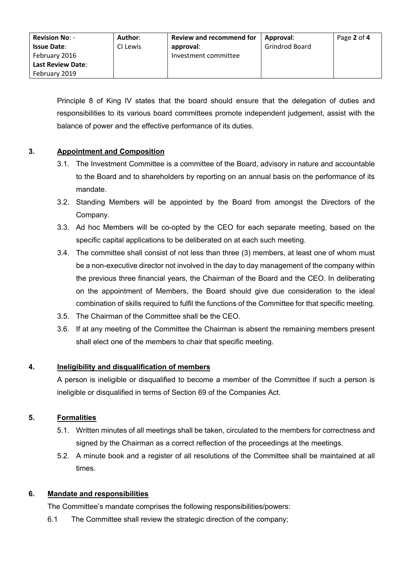| <b>Revision No: -</b><br><b>Issue Date:</b><br>February 2016 | Author:<br>CI Lewis | <b>Review and recommend for</b><br>approval:<br>Investment committee | Approval:<br><b>Grindrod Board</b> | Page 2 of 4 |
|--------------------------------------------------------------|---------------------|----------------------------------------------------------------------|------------------------------------|-------------|
| <b>Last Review Date:</b><br>February 2019                    |                     |                                                                      |                                    |             |

Principle 8 of King IV states that the board should ensure that the delegation of duties and responsibilities to its various board committees promote independent judgement, assist with the balance of power and the effective performance of its duties.

### **3. Appointment and Composition**

- 3.1. The Investment Committee is a committee of the Board, advisory in nature and accountable to the Board and to shareholders by reporting on an annual basis on the performance of its mandate.
- 3.2. Standing Members will be appointed by the Board from amongst the Directors of the Company.
- 3.3. Ad hoc Members will be co-opted by the CEO for each separate meeting, based on the specific capital applications to be deliberated on at each such meeting.
- 3.4. The committee shall consist of not less than three (3) members, at least one of whom must be a non-executive director not involved in the day to day management of the company within the previous three financial years, the Chairman of the Board and the CEO. In deliberating on the appointment of Members, the Board should give due consideration to the ideal combination of skills required to fulfil the functions of the Committee for that specific meeting.
- 3.5. The Chairman of the Committee shall be the CEO.
- 3.6. If at any meeting of the Committee the Chairman is absent the remaining members present shall elect one of the members to chair that specific meeting.

### **4. Ineligibility and disqualification of members**

A person is ineligible or disqualified to become a member of the Committee if such a person is ineligible or disqualified in terms of Section 69 of the Companies Act.

# **5. Formalities**

- 5.1. Written minutes of all meetings shall be taken, circulated to the members for correctness and signed by the Chairman as a correct reflection of the proceedings at the meetings.
- 5.2. A minute book and a register of all resolutions of the Committee shall be maintained at all times.

### **6. Mandate and responsibilities**

The Committee's mandate comprises the following responsibilities/powers:

6.1 The Committee shall review the strategic direction of the company;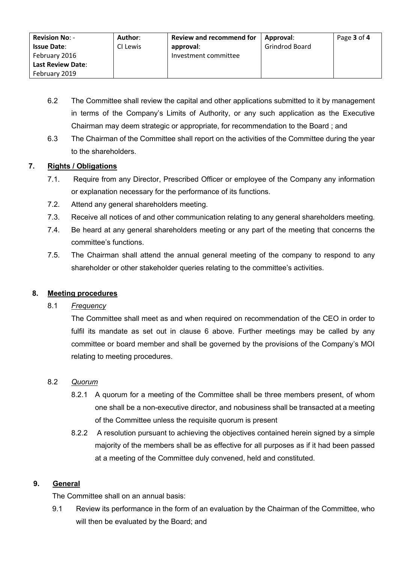| <b>Revision No: -</b>    | Author:  | <b>Review and recommend for</b> | Approval:             | Page 3 of 4 |
|--------------------------|----------|---------------------------------|-----------------------|-------------|
| <b>Issue Date:</b>       | CI Lewis | approval:                       | <b>Grindrod Board</b> |             |
| February 2016            |          | Investment committee            |                       |             |
| <b>Last Review Date:</b> |          |                                 |                       |             |
| February 2019            |          |                                 |                       |             |

- 6.2 The Committee shall review the capital and other applications submitted to it by management in terms of the Company's Limits of Authority, or any such application as the Executive Chairman may deem strategic or appropriate, for recommendation to the Board ; and
- 6.3 The Chairman of the Committee shall report on the activities of the Committee during the year to the shareholders.

## **7. Rights / Obligations**

- 7.1. Require from any Director, Prescribed Officer or employee of the Company any information or explanation necessary for the performance of its functions.
- 7.2. Attend any general shareholders meeting.
- 7.3. Receive all notices of and other communication relating to any general shareholders meeting.
- 7.4. Be heard at any general shareholders meeting or any part of the meeting that concerns the committee's functions.
- 7.5. The Chairman shall attend the annual general meeting of the company to respond to any shareholder or other stakeholder queries relating to the committee's activities.

### **8. Meeting procedures**

### 8.1 *Frequency*

The Committee shall meet as and when required on recommendation of the CEO in order to fulfil its mandate as set out in clause 6 above. Further meetings may be called by any committee or board member and shall be governed by the provisions of the Company's MOI relating to meeting procedures.

### 8.2 *Quorum*

- 8.2.1 A quorum for a meeting of the Committee shall be three members present, of whom one shall be a non-executive director, and nobusiness shall be transacted at a meeting of the Committee unless the requisite quorum is present
- 8.2.2 A resolution pursuant to achieving the objectives contained herein signed by a simple majority of the members shall be as effective for all purposes as if it had been passed at a meeting of the Committee duly convened, held and constituted.

### **9. General**

The Committee shall on an annual basis:

9.1 Review its performance in the form of an evaluation by the Chairman of the Committee, who will then be evaluated by the Board; and